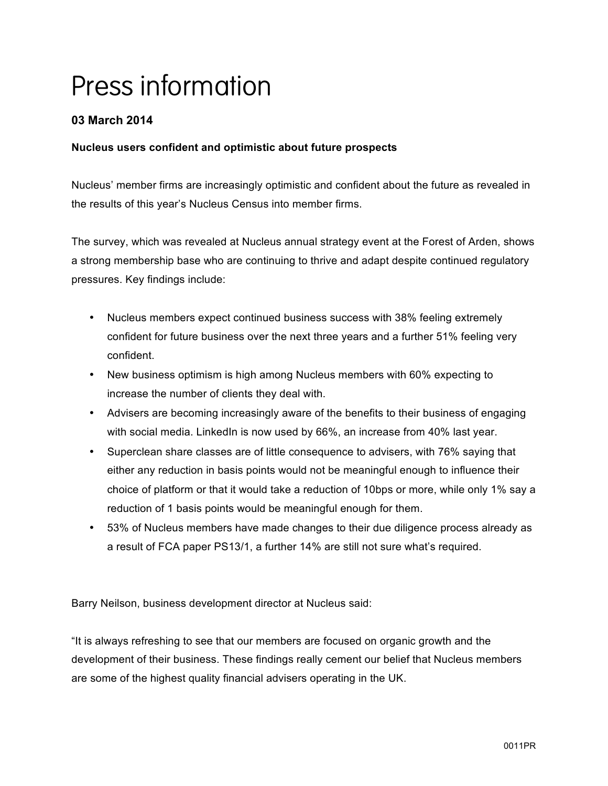# Press information

# **03 March 2014**

## **Nucleus users confident and optimistic about future prospects**

Nucleus' member firms are increasingly optimistic and confident about the future as revealed in the results of this year's Nucleus Census into member firms.

The survey, which was revealed at Nucleus annual strategy event at the Forest of Arden, shows a strong membership base who are continuing to thrive and adapt despite continued regulatory pressures. Key findings include:

- Nucleus members expect continued business success with 38% feeling extremely confident for future business over the next three years and a further 51% feeling very confident.
- New business optimism is high among Nucleus members with 60% expecting to increase the number of clients they deal with.
- Advisers are becoming increasingly aware of the benefits to their business of engaging with social media. LinkedIn is now used by 66%, an increase from 40% last year.
- Superclean share classes are of little consequence to advisers, with 76% saying that either any reduction in basis points would not be meaningful enough to influence their choice of platform or that it would take a reduction of 10bps or more, while only 1% say a reduction of 1 basis points would be meaningful enough for them.
- 53% of Nucleus members have made changes to their due diligence process already as a result of FCA paper PS13/1, a further 14% are still not sure what's required.

Barry Neilson, business development director at Nucleus said:

"It is always refreshing to see that our members are focused on organic growth and the development of their business. These findings really cement our belief that Nucleus members are some of the highest quality financial advisers operating in the UK.